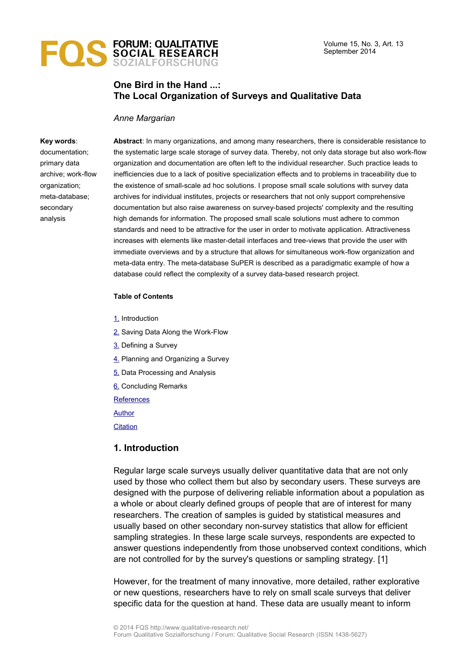

## **One Bird in the Hand ...: The Local Organization of Surveys and Qualitative Data**

#### *Anne Margarian*

#### **Key words**:

documentation; primary data archive; work-flow organization; meta-database; secondary analysis

**Abstract**: In many organizations, and among many researchers, there is considerable resistance to the systematic large scale storage of survey data. Thereby, not only data storage but also work-flow organization and documentation are often left to the individual researcher. Such practice leads to inefficiencies due to a lack of positive specialization effects and to problems in traceability due to the existence of small-scale ad hoc solutions. I propose small scale solutions with survey data archives for individual institutes, projects or researchers that not only support comprehensive documentation but also raise awareness on survey-based projects' complexity and the resulting high demands for information. The proposed small scale solutions must adhere to common standards and need to be attractive for the user in order to motivate application. Attractiveness increases with elements like master-detail interfaces and tree-views that provide the user with immediate overviews and by a structure that allows for simultaneous work-flow organization and meta-data entry. The meta-database SuPER is described as a paradigmatic example of how a database could reflect the complexity of a survey data-based research project.

#### **Table of Contents**

- [1.](#page-0-0) Introduction
- [2.](#page-3-0) Saving Data Along the Work-Flow
- [3.](#page-6-0) Defining a Survey
- [4.](#page-9-0) Planning and Organizing a Survey
- [5.](#page-11-0) Data Processing and Analysis
- [6.](#page-13-0) Concluding Remarks

**[References](#page-15-2)** 

[Author](#page-15-1)

**[Citation](#page-15-0)** 

### <span id="page-0-0"></span>**1. Introduction**

Regular large scale surveys usually deliver quantitative data that are not only used by those who collect them but also by secondary users. These surveys are designed with the purpose of delivering reliable information about a population as a whole or about clearly defined groups of people that are of interest for many researchers. The creation of samples is guided by statistical measures and usually based on other secondary non-survey statistics that allow for efficient sampling strategies. In these large scale surveys, respondents are expected to answer questions independently from those unobserved context conditions, which are not controlled for by the survey's questions or sampling strategy. [1]

However, for the treatment of many innovative, more detailed, rather explorative or new questions, researchers have to rely on small scale surveys that deliver specific data for the question at hand. These data are usually meant to inform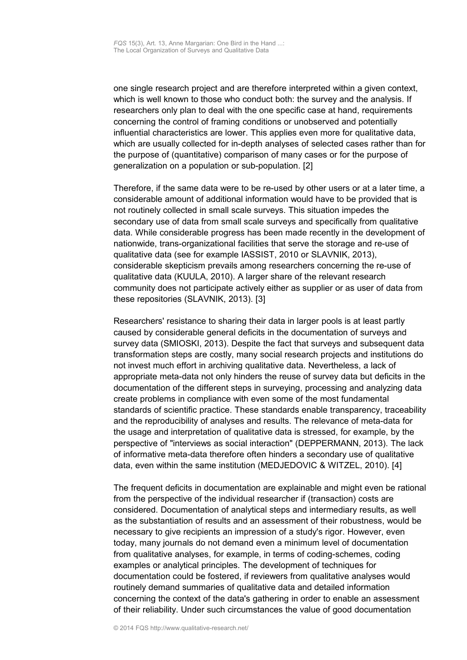one single research project and are therefore interpreted within a given context, which is well known to those who conduct both: the survey and the analysis. If researchers only plan to deal with the one specific case at hand, requirements concerning the control of framing conditions or unobserved and potentially influential characteristics are lower. This applies even more for qualitative data, which are usually collected for in-depth analyses of selected cases rather than for the purpose of (quantitative) comparison of many cases or for the purpose of generalization on a population or sub-population. [2]

Therefore, if the same data were to be re-used by other users or at a later time, a considerable amount of additional information would have to be provided that is not routinely collected in small scale surveys. This situation impedes the secondary use of data from small scale surveys and specifically from qualitative data. While considerable progress has been made recently in the development of nationwide, trans-organizational facilities that serve the storage and re-use of qualitative data (see for example IASSIST, 2010 or SLAVNIK, 2013), considerable skepticism prevails among researchers concerning the re-use of qualitative data (KUULA, 2010). A larger share of the relevant research community does not participate actively either as supplier or as user of data from these repositories (SLAVNIK, 2013). [3]

Researchers' resistance to sharing their data in larger pools is at least partly caused by considerable general deficits in the documentation of surveys and survey data (SMIOSKI, 2013). Despite the fact that surveys and subsequent data transformation steps are costly, many social research projects and institutions do not invest much effort in archiving qualitative data. Nevertheless, a lack of appropriate meta-data not only hinders the reuse of survey data but deficits in the documentation of the different steps in surveying, processing and analyzing data create problems in compliance with even some of the most fundamental standards of scientific practice. These standards enable transparency, traceability and the reproducibility of analyses and results. The relevance of meta-data for the usage and interpretation of qualitative data is stressed, for example, by the perspective of "interviews as social interaction" (DEPPERMANN, 2013). The lack of informative meta-data therefore often hinders a secondary use of qualitative data, even within the same institution (MEDJEDOVIC & WITZEL, 2010). [4]

The frequent deficits in documentation are explainable and might even be rational from the perspective of the individual researcher if (transaction) costs are considered. Documentation of analytical steps and intermediary results, as well as the substantiation of results and an assessment of their robustness, would be necessary to give recipients an impression of a study's rigor. However, even today, many journals do not demand even a minimum level of documentation from qualitative analyses, for example, in terms of coding-schemes, coding examples or analytical principles. The development of techniques for documentation could be fostered, if reviewers from qualitative analyses would routinely demand summaries of qualitative data and detailed information concerning the context of the data's gathering in order to enable an assessment of their reliability. Under such circumstances the value of good documentation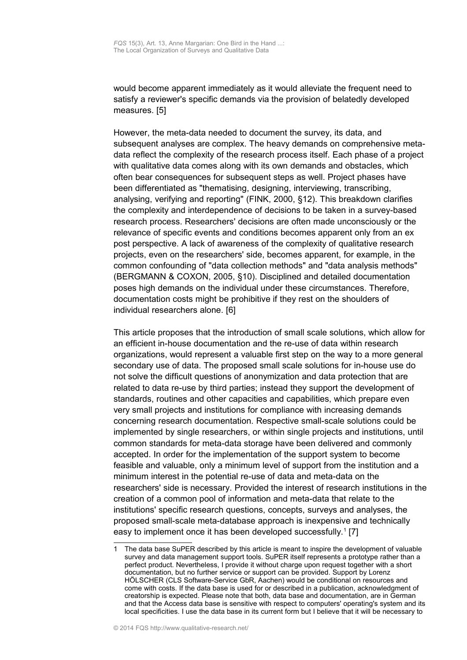would become apparent immediately as it would alleviate the frequent need to satisfy a reviewer's specific demands via the provision of belatedly developed measures. [5]

However, the meta-data needed to document the survey, its data, and subsequent analyses are complex. The heavy demands on comprehensive metadata reflect the complexity of the research process itself. Each phase of a project with qualitative data comes along with its own demands and obstacles, which often bear consequences for subsequent steps as well. Project phases have been differentiated as "thematising, designing, interviewing, transcribing, analysing, verifying and reporting" (FINK, 2000, §12). This breakdown clarifies the complexity and interdependence of decisions to be taken in a survey-based research process. Researchers' decisions are often made unconsciously or the relevance of specific events and conditions becomes apparent only from an ex post perspective. A lack of awareness of the complexity of qualitative research projects, even on the researchers' side, becomes apparent, for example, in the common confounding of "data collection methods" and "data analysis methods" (BERGMANN & COXON, 2005, §10). Disciplined and detailed documentation poses high demands on the individual under these circumstances. Therefore, documentation costs might be prohibitive if they rest on the shoulders of individual researchers alone. [6]

This article proposes that the introduction of small scale solutions, which allow for an efficient in-house documentation and the re-use of data within research organizations, would represent a valuable first step on the way to a more general secondary use of data. The proposed small scale solutions for in-house use do not solve the difficult questions of anonymization and data protection that are related to data re-use by third parties; instead they support the development of standards, routines and other capacities and capabilities, which prepare even very small projects and institutions for compliance with increasing demands concerning research documentation. Respective small-scale solutions could be implemented by single researchers, or within single projects and institutions, until common standards for meta-data storage have been delivered and commonly accepted. In order for the implementation of the support system to become feasible and valuable, only a minimum level of support from the institution and a minimum interest in the potential re-use of data and meta-data on the researchers' side is necessary. Provided the interest of research institutions in the creation of a common pool of information and meta-data that relate to the institutions' specific research questions, concepts, surveys and analyses, the proposed small-scale meta-database approach is inexpensive and technically easy to implement once it has been developed successfully.<sup>[1](#page-2-0)</sup> [7]

<span id="page-2-0"></span><sup>1</sup> The data base SuPER described by this article is meant to inspire the development of valuable survey and data management support tools. SuPER itself represents a prototype rather than a perfect product. Nevertheless, I provide it without charge upon request together with a short documentation, but no further service or support can be provided. Support by Lorenz HÖLSCHER (CLS Software-Service GbR, Aachen) would be conditional on resources and come with costs. If the data base is used for or described in a publication, acknowledgment of creatorship is expected. Please note that both, data base and documentation, are in German and that the Access data base is sensitive with respect to computers' operating's system and its local specificities. I use the data base in its current form but I believe that it will be necessary to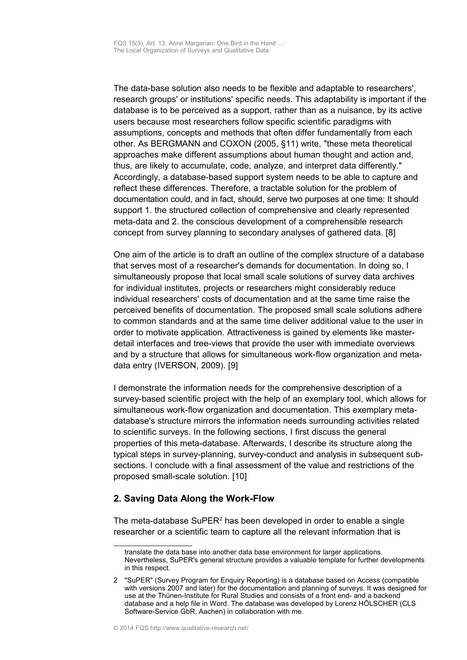The data-base solution also needs to be flexible and adaptable to researchers', research groups' or institutions' specific needs. This adaptability is important if the database is to be perceived as a support, rather than as a nuisance, by its active users because most researchers follow specific scientific paradigms with assumptions, concepts and methods that often differ fundamentally from each other. As BERGMANN and COXON (2005, §11) write, "these meta theoretical approaches make different assumptions about human thought and action and, thus, are likely to accumulate, code, analyze, and interpret data differently." Accordingly, a database-based support system needs to be able to capture and reflect these differences. Therefore, a tractable solution for the problem of documentation could, and in fact, should, serve two purposes at one time: It should support 1. the structured collection of comprehensive and clearly represented meta-data and 2. the conscious development of a comprehensible research concept from survey planning to secondary analyses of gathered data. [8]

One aim of the article is to draft an outline of the complex structure of a database that serves most of a researcher's demands for documentation. In doing so, I simultaneously propose that local small scale solutions of survey data archives for individual institutes, projects or researchers might considerably reduce individual researchers' costs of documentation and at the same time raise the perceived benefits of documentation. The proposed small scale solutions adhere to common standards and at the same time deliver additional value to the user in order to motivate application. Attractiveness is gained by elements like masterdetail interfaces and tree-views that provide the user with immediate overviews and by a structure that allows for simultaneous work-flow organization and metadata entry (IVERSON, 2009). [9]

I demonstrate the information needs for the comprehensive description of a survey-based scientific project with the help of an exemplary tool, which allows for simultaneous work-flow organization and documentation. This exemplary metadatabase's structure mirrors the information needs surrounding activities related to scientific surveys. In the following sections, I first discuss the general properties of this meta-database. Afterwards, I describe its structure along the typical steps in survey-planning, survey-conduct and analysis in subsequent subsections. I conclude with a final assessment of the value and restrictions of the proposed small-scale solution. [10]

## <span id="page-3-0"></span>**2. Saving Data Along the Work-Flow**

The meta-database SuPER $2$  has been developed in order to enable a single researcher or a scientific team to capture all the relevant information that is

translate the data base into another data base environment for larger applications. Nevertheless, SuPER's general structure provides a valuable template for further developments in this respect.

<span id="page-3-1"></span><sup>2</sup> "SuPER" (Survey Program for Enquiry Reporting) is a database based on Access (compatible with versions 2007 and later) for the documentation and planning of surveys. It was designed for use at the Thünen-Institute for Rural Studies and consists of a front end- and a backend database and a help file in Word. The database was developed by Lorenz HÖLSCHER (CLS Software-Service GbR, Aachen) in collaboration with me.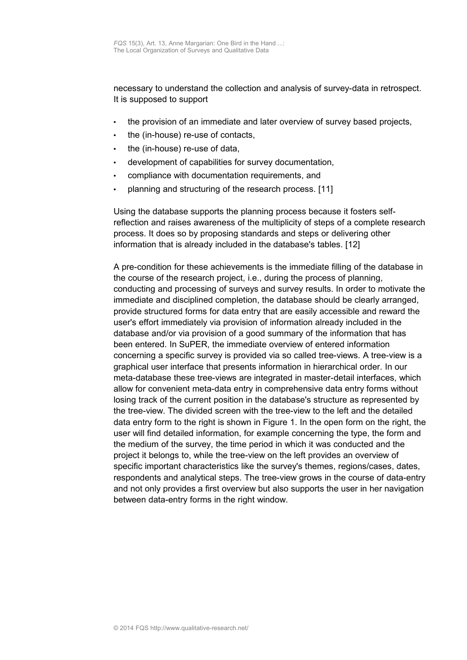necessary to understand the collection and analysis of survey-data in retrospect. It is supposed to support

- the provision of an immediate and later overview of survey based projects,
- the (in-house) re-use of contacts,
- the (in-house) re-use of data,
- development of capabilities for survey documentation,
- compliance with documentation requirements, and
- planning and structuring of the research process. [11]

Using the database supports the planning process because it fosters selfreflection and raises awareness of the multiplicity of steps of a complete research process. It does so by proposing standards and steps or delivering other information that is already included in the database's tables. [12]

A pre-condition for these achievements is the immediate filling of the database in the course of the research project, i.e., during the process of planning, conducting and processing of surveys and survey results. In order to motivate the immediate and disciplined completion, the database should be clearly arranged, provide structured forms for data entry that are easily accessible and reward the user's effort immediately via provision of information already included in the database and/or via provision of a good summary of the information that has been entered. In SuPER, the immediate overview of entered information concerning a specific survey is provided via so called tree-views. A tree-view is a graphical user interface that presents information in hierarchical order. In our meta-database these tree-views are integrated in master-detail interfaces, which allow for convenient meta-data entry in comprehensive data entry forms without losing track of the current position in the database's structure as represented by the tree-view. The divided screen with the tree-view to the left and the detailed data entry form to the right is shown in Figure 1. In the open form on the right, the user will find detailed information, for example concerning the type, the form and the medium of the survey, the time period in which it was conducted and the project it belongs to, while the tree-view on the left provides an overview of specific important characteristics like the survey's themes, regions/cases, dates, respondents and analytical steps. The tree-view grows in the course of data-entry and not only provides a first overview but also supports the user in her navigation between data-entry forms in the right window.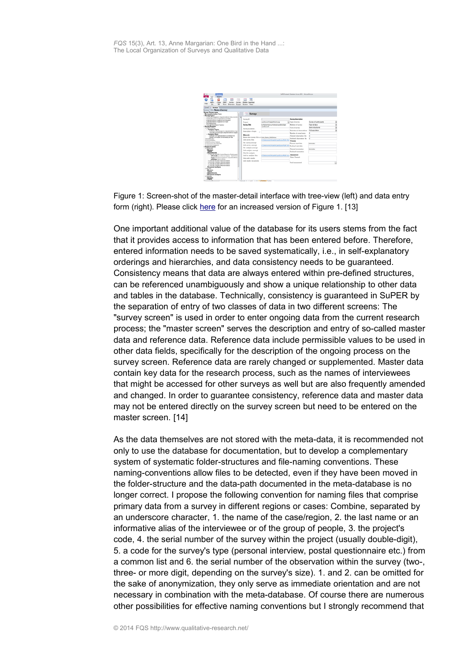| u<br>Close<br>fran<br><b>Hala</b><br><b>Burney</b><br>$\overline{u}$<br>si.<br>Screen<br>form<br>Overview                                                 | 16<br><b>Mester Calendar</b><br>Screen View    |                                                                        |                           |                        |  |
|-----------------------------------------------------------------------------------------------------------------------------------------------------------|------------------------------------------------|------------------------------------------------------------------------|---------------------------|------------------------|--|
| "Louis " Servers                                                                                                                                          |                                                |                                                                        |                           |                        |  |
| Survey Title: Name of survey<br><b>Survey Survey name</b><br>$\overline{16}$<br><b>Survey Information Form</b><br>Survey Topics                           | Surveys                                        |                                                                        |                           |                        |  |
| Unterstreamentagement and products/late Endea declined 11 TV<br>Institute who Lamas in Organizations and Public<br>Tuberaluturbate Ensureran and American | <b>Barana 10</b>                               |                                                                        | <b>Survey description</b> |                        |  |
| <b>Informational links Engagement con France</b>                                                                                                          | Preierch                                       | LandDukunft Begfertforschung                                           | Tel Type of survey.       | Survey of participants |  |
| Percedentations<br><b>Snatsude Extractions in Teatimum</b>                                                                                                | <b>Survey Title</b>                            | Aufhalderhaltung fürdershate Beteiligte                                | Medium of survey.         | Face to face           |  |
| <b>Survey Analyses</b>                                                                                                                                    |                                                | Landiskunk                                                             | Form of survey            | Sami-structured        |  |
| a Calentee officery<br>- Analysis Topics                                                                                                                  | Survey occasion                                |                                                                        |                           |                        |  |
| Parcialyte Vice-contextual for Advertising Bulletin Court                                                                                                 | Description of topic<br>×                      |                                                                        | Selection of observations | Full population        |  |
| Stuktuade Varausratzungen zielgesellsthalfeiten Engegen<br>- Meaduse Steps                                                                                |                                                |                                                                        | Number of accessionses    |                        |  |
| <b>Checkway</b> von Readmandate in autombase Fore                                                                                                         | Materials                                      |                                                                        | Planned observation No.   |                        |  |
| furtures are transition on booth shorts the Falls.                                                                                                        | Name stem survey files or lowis Name McGirlson |                                                                        | Realized absentation No.  | ٠                      |  |
| * Excellaborators<br><b>A Francisco da</b>                                                                                                                | Link survey lifes                              | STOWANIAN PHILIPP LINEMATER PAY                                        | Process                   |                        |  |
| A Note Government Collegean                                                                                                                               | File survey concept                            |                                                                        |                           |                        |  |
| A Textural except in Holmester                                                                                                                            |                                                |                                                                        | Planned start date        | 11, 09, 3012           |  |
| & Columbian angagerad<br><b>Research areas</b>                                                                                                            | Link survey concent                            | high-record/reproduction-that first Easterd date date                  |                           |                        |  |
| 4 Oktoba Ave.                                                                                                                                             | File analysis concept                          |                                                                        |                           |                        |  |
| * Employee                                                                                                                                                | Link analysis concept                          |                                                                        | Planned termination       | <b>WA NO. MOLD</b>     |  |
| <b>AMERICA</b>                                                                                                                                            |                                                |                                                                        | Realised termination      |                        |  |
| 6 1810 312 05:00 St is Visitor Experies, Factorypide                                                                                                      | Filley for analysis                            |                                                                        | Assessment                |                        |  |
| <b>Informatio</b> new Entertain Installate Great LCCC                                                                                                     | Link for analysis files                        | mal/monitor/product/monitors.au<br><b><i><u><i>Adamson</i></u></i></b> |                           |                        |  |
| Tappin' international component unit product affaired<br>Analysia (shot-a shoe)                                                                           | Edga with results                              |                                                                        | Note / Remark             |                        |  |
| At 100 Mill All Cold At 10 Mill At February Institution                                                                                                   | <b>Eask results damentally</b>                 |                                                                        |                           |                        |  |
| a 15.10.3017 tellifica Schrowk Installator                                                                                                                |                                                |                                                                        | Food assessment           |                        |  |
| A 2110 St 14 St 24 St 24 St 24 St 24 St 24 St 24 St 24 St 24<br>* 2110 2012 15:00:00 in Federal Installation                                              |                                                |                                                                        |                           |                        |  |
| <b>Document</b> analyses                                                                                                                                  |                                                |                                                                        |                           |                        |  |
| <b>BAASA</b>                                                                                                                                              |                                                |                                                                        |                           |                        |  |
| + Emaions                                                                                                                                                 |                                                |                                                                        |                           |                        |  |
| Lemira<br>- Associations of                                                                                                                               |                                                |                                                                        |                           |                        |  |
| -Document analyses                                                                                                                                        |                                                |                                                                        |                           |                        |  |
| <b>History</b>                                                                                                                                            |                                                |                                                                        |                           |                        |  |
| + Employer                                                                                                                                                |                                                |                                                                        |                           |                        |  |

Figure 1: Screen-shot of the master-detail interface with tree-view (left) and data entry form (right). Please click [here](http://www.qualitative-forschung.de/fqs-supplement/fotos/zoom/14-3-13/fig1.jpg) for an increased version of Figure 1. [13]

One important additional value of the database for its users stems from the fact that it provides access to information that has been entered before. Therefore, entered information needs to be saved systematically, i.e., in self-explanatory orderings and hierarchies, and data consistency needs to be guaranteed. Consistency means that data are always entered within pre-defined structures, can be referenced unambiguously and show a unique relationship to other data and tables in the database. Technically, consistency is guaranteed in SuPER by the separation of entry of two classes of data in two different screens: The "survey screen" is used in order to enter ongoing data from the current research process; the "master screen" serves the description and entry of so-called master data and reference data. Reference data include permissible values to be used in other data fields, specifically for the description of the ongoing process on the survey screen. Reference data are rarely changed or supplemented. Master data contain key data for the research process, such as the names of interviewees that might be accessed for other surveys as well but are also frequently amended and changed. In order to guarantee consistency, reference data and master data may not be entered directly on the survey screen but need to be entered on the master screen. [14]

As the data themselves are not stored with the meta-data, it is recommended not only to use the database for documentation, but to develop a complementary system of systematic folder-structures and file-naming conventions. These naming-conventions allow files to be detected, even if they have been moved in the folder-structure and the data-path documented in the meta-database is no longer correct. I propose the following convention for naming files that comprise primary data from a survey in different regions or cases: Combine, separated by an underscore character, 1. the name of the case/region, 2. the last name or an informative alias of the interviewee or of the group of people, 3. the project's code, 4. the serial number of the survey within the project (usually double-digit), 5. a code for the survey's type (personal interview, postal questionnaire etc.) from a common list and 6. the serial number of the observation within the survey (two-, three- or more digit, depending on the survey's size). 1. and 2. can be omitted for the sake of anonymization, they only serve as immediate orientation and are not necessary in combination with the meta-database. Of course there are numerous other possibilities for effective naming conventions but I strongly recommend that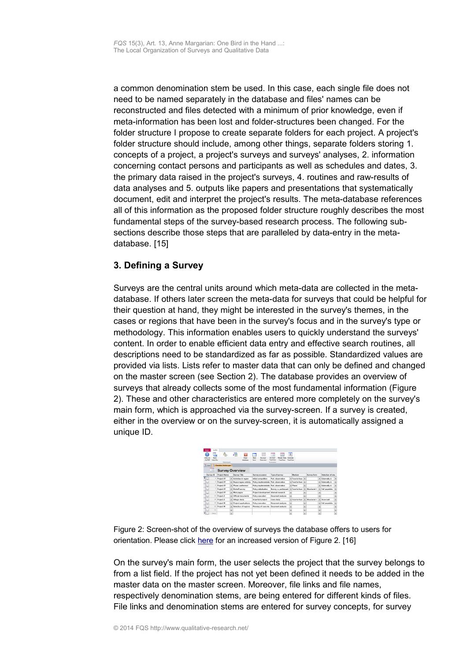a common denomination stem be used. In this case, each single file does not need to be named separately in the database and files' names can be reconstructed and files detected with a minimum of prior knowledge, even if meta-information has been lost and folder-structures been changed. For the folder structure I propose to create separate folders for each project. A project's folder structure should include, among other things, separate folders storing 1. concepts of a project, a project's surveys and surveys' analyses, 2. information concerning contact persons and participants as well as schedules and dates, 3. the primary data raised in the project's surveys, 4. routines and raw-results of data analyses and 5. outputs like papers and presentations that systematically document, edit and interpret the project's results. The meta-database references all of this information as the proposed folder structure roughly describes the most fundamental steps of the survey-based research process. The following subsections describe those steps that are paralleled by data-entry in the metadatabase. [15]

# <span id="page-6-0"></span>**3. Defining a Survey**

Surveys are the central units around which meta-data are collected in the metadatabase. If others later screen the meta-data for surveys that could be helpful for their question at hand, they might be interested in the survey's themes, in the cases or regions that have been in the survey's focus and in the survey's type or methodology. This information enables users to quickly understand the surveys' content. In order to enable efficient data entry and effective search routines, all descriptions need to be standardized as far as possible. Standardized values are provided via lists. Lists refer to master data that can only be defined and changed on the master screen (see Section 2). The database provides an overview of surveys that already collects some of the most fundamental information (Figure 2). These and other characteristics are entered more completely on the survey's main form, which is approached via the survey-screen. If a survey is created, either in the overview or on the survey-screen, it is automatically assigned a unique ID.

|   | 2<br>Infos on<br>SAFER  | ₩<br><b>Does</b><br>help-file | ę,<br>Datenhank             |         | 局<br>×<br>Dase<br>database | $\frac{1}{2}$<br>Start<br>Surveys<br>torn<br>Duncylow | $-$<br>-22<br>Sances<br>Master Date<br>Travition<br>Treations<br>TreeWear<br>Fremadare | 5.<br>Calendar |                |                          |              |                          |                          |  |
|---|-------------------------|-------------------------------|-----------------------------|---------|----------------------------|-------------------------------------------------------|----------------------------------------------------------------------------------------|----------------|----------------|--------------------------|--------------|--------------------------|--------------------------|--|
|   | <b>The Start Set 19</b> |                               | <b>Oberblick Erhebungen</b> |         |                            |                                                       |                                                                                        |                |                |                          |              |                          |                          |  |
|   |                         | 疆                             |                             |         | <b>Survey Overview</b>     |                                                       |                                                                                        |                |                |                          |              |                          |                          |  |
|   | Survey ID               |                               | <b>Project Name</b>         |         | <b>Survey Title</b>        | Survey occasion                                       | Type of survey                                                                         |                | Mayfassen      |                          | Survey form  |                          | <b>Relaction of also</b> |  |
| ٠ | <b>Valley</b>           |                               | Project XY                  | $\cdot$ | Activities in region       | Initial competition                                   | Part, drawnwation                                                                      |                | * Face-to-face | ۰                        |              | $\bullet$                | Externally d.            |  |
|   | <b>Var</b>              |                               | Project XY                  | ۰       | Supra-region activity      | Policy implementatio Part, observation                |                                                                                        |                | · Face-to-face | ×.                       |              | $\bullet$                | Faternally d.            |  |
|   | <b>Var</b>              |                               | Project XY                  | ۰       | Phone conference           | Policy implementatio Part, observation                |                                                                                        |                | * Phone        | ×.                       |              | ٠                        | Faternally d.            |  |
|   | <b>Var</b>              |                               | Project XY                  | ۰       | Kickoff survey             | Policy initialisation                                 | Survey a participant                                                                   |                | * Face-to-face | ٠                        | Structured I | ٠                        | Full occulatio           |  |
|   | him.                    |                               | Project XY                  |         | · Web pages                | Project development Internet research                 |                                                                                        | ۰              |                | $\overline{\phantom{a}}$ |              | ٠                        |                          |  |
|   | <b>First</b>            | $15 -$                        | Project Z                   |         | v. Official documents.     | Policy execution                                      | Document analysis                                                                      | ٠              |                | ÷                        |              | ×                        |                          |  |
|   | <b>Visi</b>             | 18                            | Project 2                   |         | · Village study            | Important project                                     | Case study                                                                             |                | * Face-to-face | ÷                        | Structured I | ×                        | <b>Samurhall</b>         |  |
|   | h and                   | 19                            | <b>Project W</b>            | ×.      | Project applications       | Policy execution                                      | Document analysis                                                                      | ×              |                | $\overline{\phantom{a}}$ |              |                          | · Full populatio         |  |
|   | li se                   | 20                            | Project W                   | ×.      | Selection of regions       | Planning of case stu-                                 | Document analysis                                                                      | z              |                | $\bullet$                |              | $\overline{\phantom{a}}$ |                          |  |
|   | <b>Section</b>          | 21                            |                             | ۰<br>-  |                            |                                                       |                                                                                        | ۰              |                | ۰                        |              | ×.<br>-                  |                          |  |
| ٠ |                         | <b>INeut</b>                  |                             | -<br>×. |                            |                                                       |                                                                                        | ═<br>۰         |                | ٠                        |              | -<br>٠                   |                          |  |

Figure 2: Screen-shot of the overview of surveys the database offers to users for orientation. Please click [here](http://www.qualitative-forschung.de/fqs-supplement/fotos/zoom/14-3-13/fig2.jpg) for an increased version of Figure 2. [16]

On the survey's main form, the user selects the project that the survey belongs to from a list field. If the project has not yet been defined it needs to be added in the master data on the master screen. Moreover, file links and file names, respectively denomination stems, are being entered for different kinds of files. File links and denomination stems are entered for survey concepts, for survey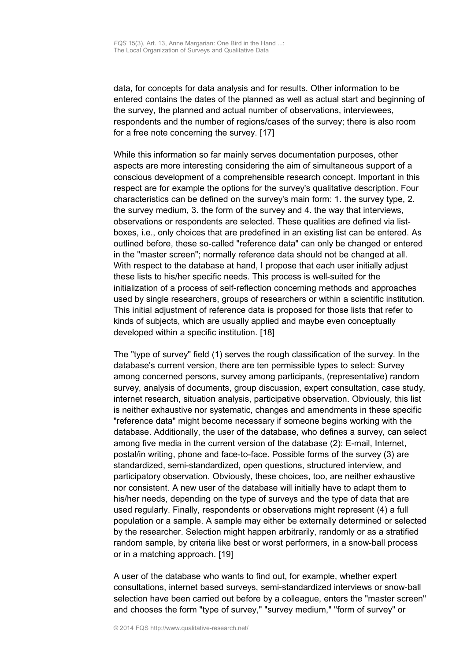data, for concepts for data analysis and for results. Other information to be entered contains the dates of the planned as well as actual start and beginning of the survey, the planned and actual number of observations, interviewees, respondents and the number of regions/cases of the survey; there is also room for a free note concerning the survey. [17]

While this information so far mainly serves documentation purposes, other aspects are more interesting considering the aim of simultaneous support of a conscious development of a comprehensible research concept. Important in this respect are for example the options for the survey's qualitative description. Four characteristics can be defined on the survey's main form: 1. the survey type, 2. the survey medium, 3. the form of the survey and 4. the way that interviews, observations or respondents are selected. These qualities are defined via listboxes, i.e., only choices that are predefined in an existing list can be entered. As outlined before, these so-called "reference data" can only be changed or entered in the "master screen"; normally reference data should not be changed at all. With respect to the database at hand, I propose that each user initially adjust these lists to his/her specific needs. This process is well-suited for the initialization of a process of self-reflection concerning methods and approaches used by single researchers, groups of researchers or within a scientific institution. This initial adjustment of reference data is proposed for those lists that refer to kinds of subjects, which are usually applied and maybe even conceptually developed within a specific institution. [18]

The "type of survey" field (1) serves the rough classification of the survey. In the database's current version, there are ten permissible types to select: Survey among concerned persons, survey among participants, (representative) random survey, analysis of documents, group discussion, expert consultation, case study, internet research, situation analysis, participative observation. Obviously, this list is neither exhaustive nor systematic, changes and amendments in these specific "reference data" might become necessary if someone begins working with the database. Additionally, the user of the database, who defines a survey, can select among five media in the current version of the database (2): E-mail, Internet, postal/in writing, phone and face-to-face. Possible forms of the survey (3) are standardized, semi-standardized, open questions, structured interview, and participatory observation. Obviously, these choices, too, are neither exhaustive nor consistent. A new user of the database will initially have to adapt them to his/her needs, depending on the type of surveys and the type of data that are used regularly. Finally, respondents or observations might represent (4) a full population or a sample. A sample may either be externally determined or selected by the researcher. Selection might happen arbitrarily, randomly or as a stratified random sample, by criteria like best or worst performers, in a snow-ball process or in a matching approach. [19]

A user of the database who wants to find out, for example, whether expert consultations, internet based surveys, semi-standardized interviews or snow-ball selection have been carried out before by a colleague, enters the "master screen" and chooses the form "type of survey," "survey medium," "form of survey" or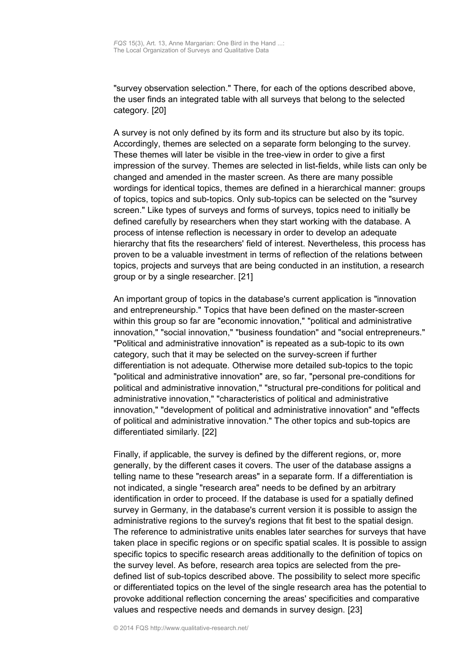"survey observation selection." There, for each of the options described above, the user finds an integrated table with all surveys that belong to the selected category. [20]

A survey is not only defined by its form and its structure but also by its topic. Accordingly, themes are selected on a separate form belonging to the survey. These themes will later be visible in the tree-view in order to give a first impression of the survey. Themes are selected in list-fields, while lists can only be changed and amended in the master screen. As there are many possible wordings for identical topics, themes are defined in a hierarchical manner: groups of topics, topics and sub-topics. Only sub-topics can be selected on the "survey screen." Like types of surveys and forms of surveys, topics need to initially be defined carefully by researchers when they start working with the database. A process of intense reflection is necessary in order to develop an adequate hierarchy that fits the researchers' field of interest. Nevertheless, this process has proven to be a valuable investment in terms of reflection of the relations between topics, projects and surveys that are being conducted in an institution, a research group or by a single researcher. [21]

An important group of topics in the database's current application is "innovation and entrepreneurship." Topics that have been defined on the master-screen within this group so far are "economic innovation," "political and administrative innovation," "social innovation," "business foundation" and "social entrepreneurs." "Political and administrative innovation" is repeated as a sub-topic to its own category, such that it may be selected on the survey-screen if further differentiation is not adequate. Otherwise more detailed sub-topics to the topic "political and administrative innovation" are, so far, "personal pre-conditions for political and administrative innovation," "structural pre-conditions for political and administrative innovation," "characteristics of political and administrative innovation," "development of political and administrative innovation" and "effects of political and administrative innovation." The other topics and sub-topics are differentiated similarly. [22]

Finally, if applicable, the survey is defined by the different regions, or, more generally, by the different cases it covers. The user of the database assigns a telling name to these "research areas" in a separate form. If a differentiation is not indicated, a single "research area" needs to be defined by an arbitrary identification in order to proceed. If the database is used for a spatially defined survey in Germany, in the database's current version it is possible to assign the administrative regions to the survey's regions that fit best to the spatial design. The reference to administrative units enables later searches for surveys that have taken place in specific regions or on specific spatial scales. It is possible to assign specific topics to specific research areas additionally to the definition of topics on the survey level. As before, research area topics are selected from the predefined list of sub-topics described above. The possibility to select more specific or differentiated topics on the level of the single research area has the potential to provoke additional reflection concerning the areas' specificities and comparative values and respective needs and demands in survey design. [23]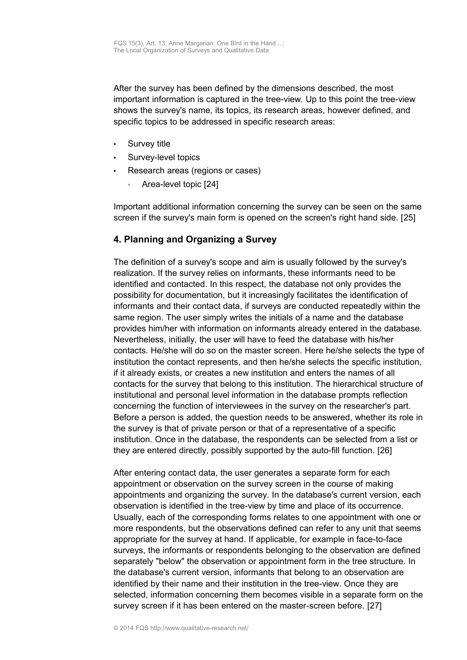After the survey has been defined by the dimensions described, the most important information is captured in the tree-view. Up to this point the tree-view shows the survey's name, its topics, its research areas, however defined, and specific topics to be addressed in specific research areas:

- Survey title
- Survey-level topics
- Research areas (regions or cases)
	- Area-level topic [24]

Important additional information concerning the survey can be seen on the same screen if the survey's main form is opened on the screen's right hand side. [25]

# <span id="page-9-0"></span>**4. Planning and Organizing a Survey**

The definition of a survey's scope and aim is usually followed by the survey's realization. If the survey relies on informants, these informants need to be identified and contacted. In this respect, the database not only provides the possibility for documentation, but it increasingly facilitates the identification of informants and their contact data, if surveys are conducted repeatedly within the same region. The user simply writes the initials of a name and the database provides him/her with information on informants already entered in the database. Nevertheless, initially, the user will have to feed the database with his/her contacts. He/she will do so on the master screen. Here he/she selects the type of institution the contact represents, and then he/she selects the specific institution, if it already exists, or creates a new institution and enters the names of all contacts for the survey that belong to this institution. The hierarchical structure of institutional and personal level information in the database prompts reflection concerning the function of interviewees in the survey on the researcher's part. Before a person is added, the question needs to be answered, whether its role in the survey is that of private person or that of a representative of a specific institution. Once in the database, the respondents can be selected from a list or they are entered directly, possibly supported by the auto-fill function. [26]

After entering contact data, the user generates a separate form for each appointment or observation on the survey screen in the course of making appointments and organizing the survey. In the database's current version, each observation is identified in the tree-view by time and place of its occurrence. Usually, each of the corresponding forms relates to one appointment with one or more respondents, but the observations defined can refer to any unit that seems appropriate for the survey at hand. If applicable, for example in face-to-face surveys, the informants or respondents belonging to the observation are defined separately "below" the observation or appointment form in the tree structure. In the database's current version, informants that belong to an observation are identified by their name and their institution in the tree-view. Once they are selected, information concerning them becomes visible in a separate form on the survey screen if it has been entered on the master-screen before. [27]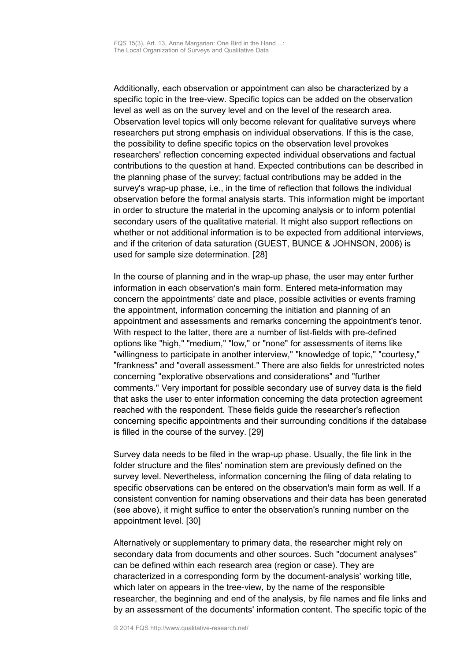Additionally, each observation or appointment can also be characterized by a specific topic in the tree-view. Specific topics can be added on the observation level as well as on the survey level and on the level of the research area. Observation level topics will only become relevant for qualitative surveys where researchers put strong emphasis on individual observations. If this is the case, the possibility to define specific topics on the observation level provokes researchers' reflection concerning expected individual observations and factual contributions to the question at hand. Expected contributions can be described in the planning phase of the survey; factual contributions may be added in the survey's wrap-up phase, i.e., in the time of reflection that follows the individual observation before the formal analysis starts. This information might be important in order to structure the material in the upcoming analysis or to inform potential secondary users of the qualitative material. It might also support reflections on whether or not additional information is to be expected from additional interviews, and if the criterion of data saturation (GUEST, BUNCE & JOHNSON, 2006) is used for sample size determination. [28]

In the course of planning and in the wrap-up phase, the user may enter further information in each observation's main form. Entered meta-information may concern the appointments' date and place, possible activities or events framing the appointment, information concerning the initiation and planning of an appointment and assessments and remarks concerning the appointment's tenor. With respect to the latter, there are a number of list-fields with pre-defined options like "high," "medium," "low," or "none" for assessments of items like "willingness to participate in another interview," "knowledge of topic," "courtesy," "frankness" and "overall assessment." There are also fields for unrestricted notes concerning "explorative observations and considerations" and "further comments." Very important for possible secondary use of survey data is the field that asks the user to enter information concerning the data protection agreement reached with the respondent. These fields guide the researcher's reflection concerning specific appointments and their surrounding conditions if the database is filled in the course of the survey. [29]

Survey data needs to be filed in the wrap-up phase. Usually, the file link in the folder structure and the files' nomination stem are previously defined on the survey level. Nevertheless, information concerning the filing of data relating to specific observations can be entered on the observation's main form as well. If a consistent convention for naming observations and their data has been generated (see above), it might suffice to enter the observation's running number on the appointment level. [30]

Alternatively or supplementary to primary data, the researcher might rely on secondary data from documents and other sources. Such "document analyses" can be defined within each research area (region or case). They are characterized in a corresponding form by the document-analysis' working title, which later on appears in the tree-view, by the name of the responsible researcher, the beginning and end of the analysis, by file names and file links and by an assessment of the documents' information content. The specific topic of the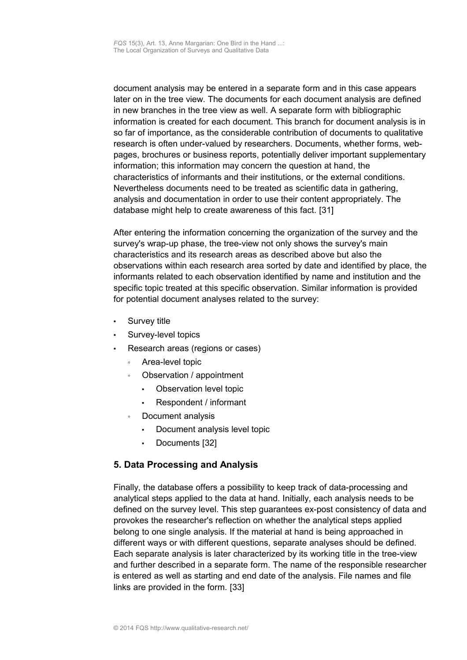document analysis may be entered in a separate form and in this case appears later on in the tree view. The documents for each document analysis are defined in new branches in the tree view as well. A separate form with bibliographic information is created for each document. This branch for document analysis is in so far of importance, as the considerable contribution of documents to qualitative research is often under-valued by researchers. Documents, whether forms, webpages, brochures or business reports, potentially deliver important supplementary information; this information may concern the question at hand, the characteristics of informants and their institutions, or the external conditions. Nevertheless documents need to be treated as scientific data in gathering, analysis and documentation in order to use their content appropriately. The database might help to create awareness of this fact. [31]

After entering the information concerning the organization of the survey and the survey's wrap-up phase, the tree-view not only shows the survey's main characteristics and its research areas as described above but also the observations within each research area sorted by date and identified by place, the informants related to each observation identified by name and institution and the specific topic treated at this specific observation. Similar information is provided for potential document analyses related to the survey:

- Survey title
- Survey-level topics
- Research areas (regions or cases)
	- Area-level topic
	- Observation / appointment
		- Observation level topic
		- Respondent / informant
	- Document analysis
		- Document analysis level topic
		- Documents [32]

## <span id="page-11-0"></span>**5. Data Processing and Analysis**

Finally, the database offers a possibility to keep track of data-processing and analytical steps applied to the data at hand. Initially, each analysis needs to be defined on the survey level. This step guarantees ex-post consistency of data and provokes the researcher's reflection on whether the analytical steps applied belong to one single analysis. If the material at hand is being approached in different ways or with different questions, separate analyses should be defined. Each separate analysis is later characterized by its working title in the tree-view and further described in a separate form. The name of the responsible researcher is entered as well as starting and end date of the analysis. File names and file links are provided in the form. [33]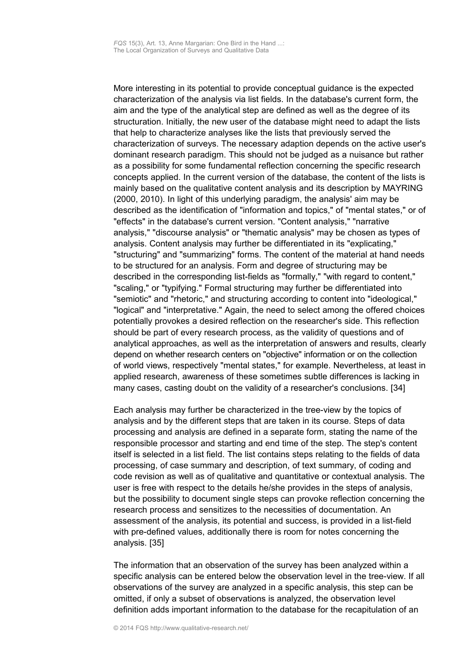More interesting in its potential to provide conceptual guidance is the expected characterization of the analysis via list fields. In the database's current form, the aim and the type of the analytical step are defined as well as the degree of its structuration. Initially, the new user of the database might need to adapt the lists that help to characterize analyses like the lists that previously served the characterization of surveys. The necessary adaption depends on the active user's dominant research paradigm. This should not be judged as a nuisance but rather as a possibility for some fundamental reflection concerning the specific research concepts applied. In the current version of the database, the content of the lists is mainly based on the qualitative content analysis and its description by MAYRING (2000, 2010). In light of this underlying paradigm, the analysis' aim may be described as the identification of "information and topics," of "mental states," or of "effects" in the database's current version. "Content analysis," "narrative analysis," "discourse analysis" or "thematic analysis" may be chosen as types of analysis. Content analysis may further be differentiated in its "explicating," "structuring" and "summarizing" forms. The content of the material at hand needs to be structured for an analysis. Form and degree of structuring may be described in the corresponding list-fields as "formally," "with regard to content," "scaling," or "typifying." Formal structuring may further be differentiated into "semiotic" and "rhetoric," and structuring according to content into "ideological," "logical" and "interpretative." Again, the need to select among the offered choices potentially provokes a desired reflection on the researcher's side. This reflection should be part of every research process, as the validity of questions and of analytical approaches, as well as the interpretation of answers and results, clearly depend on whether research centers on "objective" information or on the collection of world views, respectively "mental states," for example. Nevertheless, at least in applied research, awareness of these sometimes subtle differences is lacking in many cases, casting doubt on the validity of a researcher's conclusions. [34]

Each analysis may further be characterized in the tree-view by the topics of analysis and by the different steps that are taken in its course. Steps of data processing and analysis are defined in a separate form, stating the name of the responsible processor and starting and end time of the step. The step's content itself is selected in a list field. The list contains steps relating to the fields of data processing, of case summary and description, of text summary, of coding and code revision as well as of qualitative and quantitative or contextual analysis. The user is free with respect to the details he/she provides in the steps of analysis, but the possibility to document single steps can provoke reflection concerning the research process and sensitizes to the necessities of documentation. An assessment of the analysis, its potential and success, is provided in a list-field with pre-defined values, additionally there is room for notes concerning the analysis. [35]

The information that an observation of the survey has been analyzed within a specific analysis can be entered below the observation level in the tree-view. If all observations of the survey are analyzed in a specific analysis, this step can be omitted, if only a subset of observations is analyzed, the observation level definition adds important information to the database for the recapitulation of an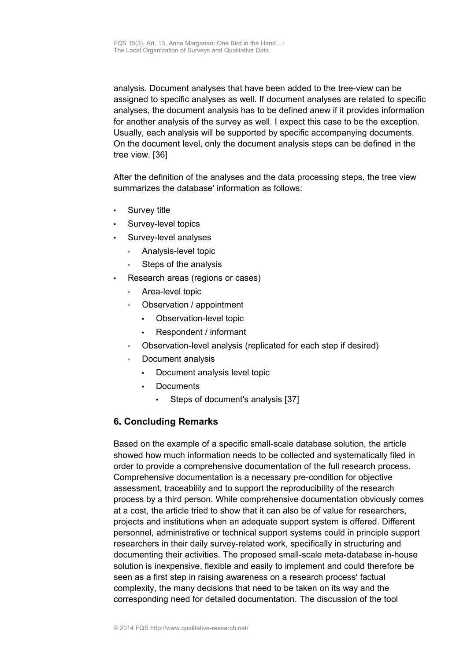analysis. Document analyses that have been added to the tree-view can be assigned to specific analyses as well. If document analyses are related to specific analyses, the document analysis has to be defined anew if it provides information for another analysis of the survey as well. I expect this case to be the exception. Usually, each analysis will be supported by specific accompanying documents. On the document level, only the document analysis steps can be defined in the tree view. [36]

After the definition of the analyses and the data processing steps, the tree view summarizes the database' information as follows:

- Survey title
- Survey-level topics
- Survey-level analyses
	- Analysis-level topic
	- Steps of the analysis
- Research areas (regions or cases)
	- Area-level topic
	- Observation / appointment
		- Observation-level topic
		- Respondent / informant
	- Observation-level analysis (replicated for each step if desired)
	- Document analysis
		- Document analysis level topic
		- **Documents** 
			- Steps of document's analysis [37]

## <span id="page-13-0"></span>**6. Concluding Remarks**

Based on the example of a specific small-scale database solution, the article showed how much information needs to be collected and systematically filed in order to provide a comprehensive documentation of the full research process. Comprehensive documentation is a necessary pre-condition for objective assessment, traceability and to support the reproducibility of the research process by a third person. While comprehensive documentation obviously comes at a cost, the article tried to show that it can also be of value for researchers, projects and institutions when an adequate support system is offered. Different personnel, administrative or technical support systems could in principle support researchers in their daily survey-related work, specifically in structuring and documenting their activities. The proposed small-scale meta-database in-house solution is inexpensive, flexible and easily to implement and could therefore be seen as a first step in raising awareness on a research process' factual complexity, the many decisions that need to be taken on its way and the corresponding need for detailed documentation. The discussion of the tool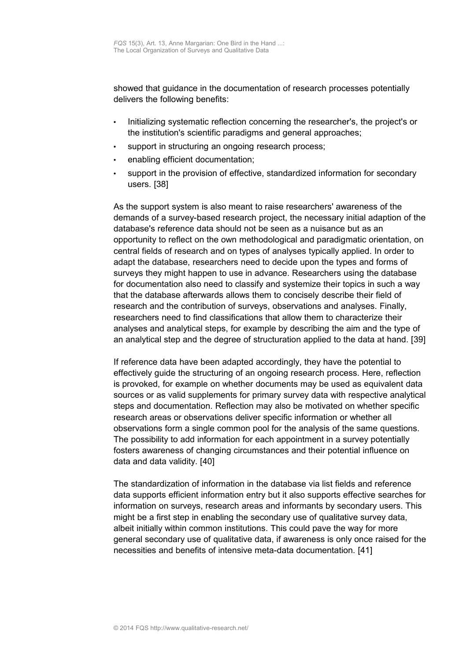showed that guidance in the documentation of research processes potentially delivers the following benefits:

- Initializing systematic reflection concerning the researcher's, the project's or the institution's scientific paradigms and general approaches;
- support in structuring an ongoing research process;
- enabling efficient documentation;
- support in the provision of effective, standardized information for secondary users. [38]

As the support system is also meant to raise researchers' awareness of the demands of a survey-based research project, the necessary initial adaption of the database's reference data should not be seen as a nuisance but as an opportunity to reflect on the own methodological and paradigmatic orientation, on central fields of research and on types of analyses typically applied. In order to adapt the database, researchers need to decide upon the types and forms of surveys they might happen to use in advance. Researchers using the database for documentation also need to classify and systemize their topics in such a way that the database afterwards allows them to concisely describe their field of research and the contribution of surveys, observations and analyses. Finally, researchers need to find classifications that allow them to characterize their analyses and analytical steps, for example by describing the aim and the type of an analytical step and the degree of structuration applied to the data at hand. [39]

If reference data have been adapted accordingly, they have the potential to effectively guide the structuring of an ongoing research process. Here, reflection is provoked, for example on whether documents may be used as equivalent data sources or as valid supplements for primary survey data with respective analytical steps and documentation. Reflection may also be motivated on whether specific research areas or observations deliver specific information or whether all observations form a single common pool for the analysis of the same questions. The possibility to add information for each appointment in a survey potentially fosters awareness of changing circumstances and their potential influence on data and data validity. [40]

The standardization of information in the database via list fields and reference data supports efficient information entry but it also supports effective searches for information on surveys, research areas and informants by secondary users. This might be a first step in enabling the secondary use of qualitative survey data, albeit initially within common institutions. This could pave the way for more general secondary use of qualitative data, if awareness is only once raised for the necessities and benefits of intensive meta-data documentation. [41]